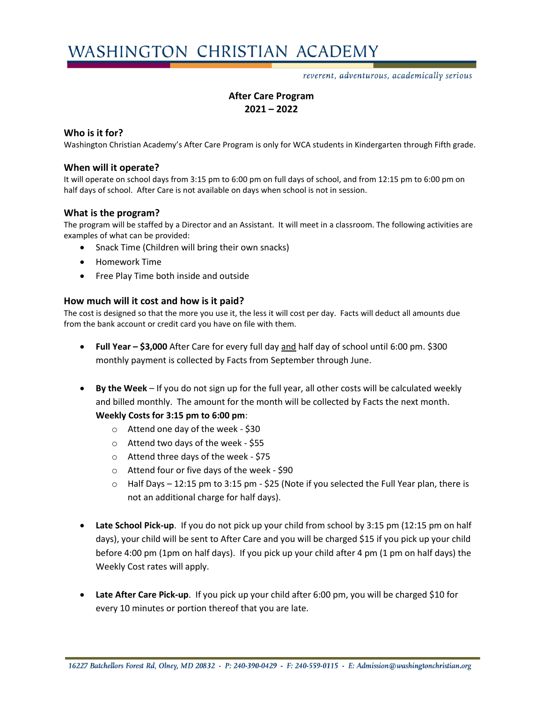reverent, adventurous, academically serious

# **After Care Program 2021 – 2022**

### **Who is it for?**

Washington Christian Academy's After Care Program is only for WCA students in Kindergarten through Fifth grade.

### **When will it operate?**

It will operate on school days from 3:15 pm to 6:00 pm on full days of school, and from 12:15 pm to 6:00 pm on half days of school. After Care is not available on days when school is not in session.

## **What is the program?**

The program will be staffed by a Director and an Assistant. It will meet in a classroom. The following activities are examples of what can be provided:

- Snack Time (Children will bring their own snacks)
- Homework Time
- Free Play Time both inside and outside

#### **How much will it cost and how is it paid?**

The cost is designed so that the more you use it, the less it will cost per day. Facts will deduct all amounts due from the bank account or credit card you have on file with them.

- **Full Year – \$3,000** After Care for every full day and half day of school until 6:00 pm. \$300 monthly payment is collected by Facts from September through June.
- **By the Week**  If you do not sign up for the full year, all other costs will be calculated weekly and billed monthly. The amount for the month will be collected by Facts the next month.

#### **Weekly Costs for 3:15 pm to 6:00 pm**:

- o Attend one day of the week \$30
- o Attend two days of the week \$55
- o Attend three days of the week \$75
- o Attend four or five days of the week \$90
- $\circ$  Half Days 12:15 pm to 3:15 pm \$25 (Note if you selected the Full Year plan, there is not an additional charge for half days).
- **Late School Pick-up**. If you do not pick up your child from school by 3:15 pm (12:15 pm on half days), your child will be sent to After Care and you will be charged \$15 if you pick up your child before 4:00 pm (1pm on half days). If you pick up your child after 4 pm (1 pm on half days) the Weekly Cost rates will apply.
- **Late After Care Pick-up**. If you pick up your child after 6:00 pm, you will be charged \$10 for every 10 minutes or portion thereof that you are late.